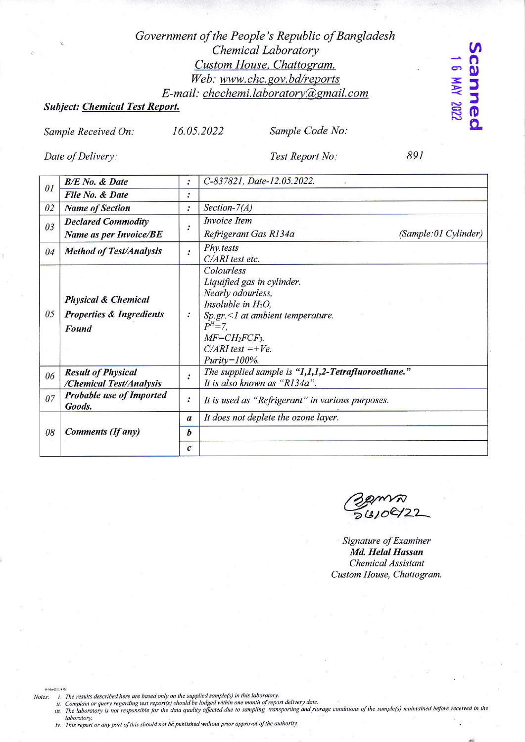## Government of the People's Republic of Bangladesh Chemical Laboratory Custom House, Chattogram. Web: www.chc.gov.bd/reports E-mail: chcchemi.laboratory@gmail.com

## **Subject: Chemical Test Report.**

Sample Received On:

16.05.2022

Sample Code No:

Date of Delivery:

Test Report No:

891

Scanned<br>16 MW 2022

| 0 <sub>I</sub> | <b>B/E</b> No. & Date                                                          | $\cdot$          | C-837821, Date-12.05.2022.                                                                                                                                                                                             |
|----------------|--------------------------------------------------------------------------------|------------------|------------------------------------------------------------------------------------------------------------------------------------------------------------------------------------------------------------------------|
|                | File No. & Date                                                                | $\ddot{\cdot}$   |                                                                                                                                                                                                                        |
| 02             | <b>Name of Section</b>                                                         | $\ddot{\cdot}$   | Section- $7(A)$                                                                                                                                                                                                        |
| 03             | <b>Declared Commodity</b>                                                      |                  | <i>Invoice Item</i>                                                                                                                                                                                                    |
|                | <b>Name as per Invoice/BE</b>                                                  |                  | (Sample:01 Cylinder)<br>Refrigerant Gas R134a                                                                                                                                                                          |
| 04             | <b>Method of Test/Analysis</b>                                                 | $\cdot$          | Phy.tests<br>C/ARI test etc.                                                                                                                                                                                           |
| 05             | <b>Physical &amp; Chemical</b><br><b>Properties &amp; Ingredients</b><br>Found |                  | Colourless<br>Liquified gas in cylinder.<br>Nearly odourless,<br>Insoluble in $H_2O$ ,<br>$Sp.gr. \leq 1$ at ambient temperature.<br>$P^{H} = 7$ .<br>$MF=CH_2FCF_3$ .<br>$C/ARI$ test =+ $Ve$ .<br>$Purity = 100\%$ . |
| 06             | <b>Result of Physical</b><br>/Chemical Test/Analysis                           |                  | The supplied sample is "1,1,1,2-Tetrafluoroethane."<br>It is also known as "R134a".                                                                                                                                    |
| 07             | <b>Probable use of Imported</b><br>Goods.                                      | :                | It is used as "Refrigerant" in various purposes.                                                                                                                                                                       |
| 08             | <b>Comments (If any)</b>                                                       | $\boldsymbol{a}$ | It does not deplete the ozone layer.                                                                                                                                                                                   |
|                |                                                                                | $\bm{b}$         |                                                                                                                                                                                                                        |
|                |                                                                                | $\mathcal{C}$    |                                                                                                                                                                                                                        |

56108122

Signature of Examiner Md. Helal Hassan Chemical Assistant Custom House, Chattogram.

Notes:

- 
- laboratory.

16-May-22 2:36 PM

iv. This report or any part of this should not be published without prior approval of the authority.